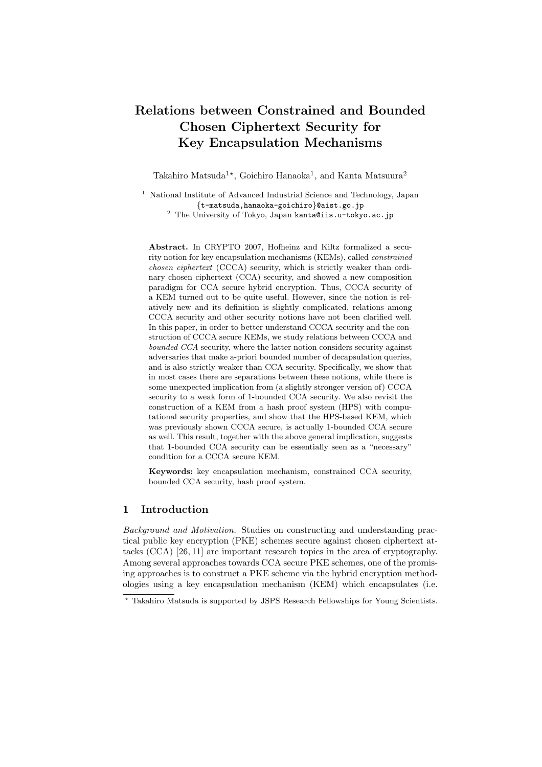# **Relations between Constrained and Bounded Chosen Ciphertext Security for Key Encapsulation Mechanisms**

Takahiro Matsuda<sup>1\*</sup>, Goichiro Hanaoka<sup>1</sup>, and Kanta Matsuura<sup>2</sup>

<sup>1</sup> National Institute of Advanced Industrial Science and Technology, Japan *{*t-matsuda,hanaoka-goichiro*}*@aist.go.jp <sup>2</sup> The University of Tokyo, Japan kanta@iis.u-tokyo.ac.jp

**Abstract.** In CRYPTO 2007, Hofheinz and Kiltz formalized a security notion for key encapsulation mechanisms (KEMs), called *constrained chosen ciphertext* (CCCA) security, which is strictly weaker than ordinary chosen ciphertext (CCA) security, and showed a new composition paradigm for CCA secure hybrid encryption. Thus, CCCA security of a KEM turned out to be quite useful. However, since the notion is relatively new and its definition is slightly complicated, relations among CCCA security and other security notions have not been clarified well. In this paper, in order to better understand CCCA security and the construction of CCCA secure KEMs, we study relations between CCCA and *bounded CCA* security, where the latter notion considers security against adversaries that make a-priori bounded number of decapsulation queries, and is also strictly weaker than CCA security. Specifically, we show that in most cases there are separations between these notions, while there is some unexpected implication from (a slightly stronger version of) CCCA security to a weak form of 1-bounded CCA security. We also revisit the construction of a KEM from a hash proof system (HPS) with computational security properties, and show that the HPS-based KEM, which was previously shown CCCA secure, is actually 1-bounded CCA secure as well. This result, together with the above general implication, suggests that 1-bounded CCA security can be essentially seen as a "necessary" condition for a CCCA secure KEM.

**Keywords:** key encapsulation mechanism, constrained CCA security, bounded CCA security, hash proof system.

### **1 Introduction**

*Background and Motivation.* Studies on constructing and understanding practical public key encryption (PKE) schemes secure against chosen ciphertext attacks (CCA) [26, 11] are important research topics in the area of cryptography. Among several approaches towards CCA secure PKE schemes, one of the promising approaches is to construct a PKE scheme via the hybrid encryption methodologies using a key encapsulation mechanism (KEM) which encapsulates (i.e.

*<sup>⋆</sup>* Takahiro Matsuda is supported by JSPS Research Fellowships for Young Scientists.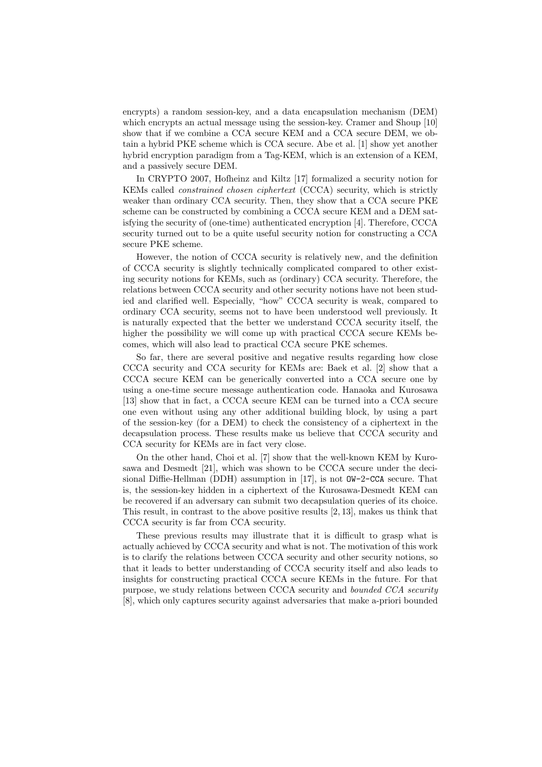encrypts) a random session-key, and a data encapsulation mechanism (DEM) which encrypts an actual message using the session-key. Cramer and Shoup [10] show that if we combine a CCA secure KEM and a CCA secure DEM, we obtain a hybrid PKE scheme which is CCA secure. Abe et al. [1] show yet another hybrid encryption paradigm from a Tag-KEM, which is an extension of a KEM, and a passively secure DEM.

In CRYPTO 2007, Hofheinz and Kiltz [17] formalized a security notion for KEMs called *constrained chosen ciphertext* (CCCA) security, which is strictly weaker than ordinary CCA security. Then, they show that a CCA secure PKE scheme can be constructed by combining a CCCA secure KEM and a DEM satisfying the security of (one-time) authenticated encryption [4]. Therefore, CCCA security turned out to be a quite useful security notion for constructing a CCA secure PKE scheme.

However, the notion of CCCA security is relatively new, and the definition of CCCA security is slightly technically complicated compared to other existing security notions for KEMs, such as (ordinary) CCA security. Therefore, the relations between CCCA security and other security notions have not been studied and clarified well. Especially, "how" CCCA security is weak, compared to ordinary CCA security, seems not to have been understood well previously. It is naturally expected that the better we understand CCCA security itself, the higher the possibility we will come up with practical CCCA secure KEMs becomes, which will also lead to practical CCA secure PKE schemes.

So far, there are several positive and negative results regarding how close CCCA security and CCA security for KEMs are: Baek et al. [2] show that a CCCA secure KEM can be generically converted into a CCA secure one by using a one-time secure message authentication code. Hanaoka and Kurosawa [13] show that in fact, a CCCA secure KEM can be turned into a CCA secure one even without using any other additional building block, by using a part of the session-key (for a DEM) to check the consistency of a ciphertext in the decapsulation process. These results make us believe that CCCA security and CCA security for KEMs are in fact very close.

On the other hand, Choi et al. [7] show that the well-known KEM by Kurosawa and Desmedt [21], which was shown to be CCCA secure under the decisional Diffie-Hellman (DDH) assumption in [17], is not OW-2-CCA secure. That is, the session-key hidden in a ciphertext of the Kurosawa-Desmedt KEM can be recovered if an adversary can submit two decapsulation queries of its choice. This result, in contrast to the above positive results [2, 13], makes us think that CCCA security is far from CCA security.

These previous results may illustrate that it is difficult to grasp what is actually achieved by CCCA security and what is not. The motivation of this work is to clarify the relations between CCCA security and other security notions, so that it leads to better understanding of CCCA security itself and also leads to insights for constructing practical CCCA secure KEMs in the future. For that purpose, we study relations between CCCA security and *bounded CCA security* [8], which only captures security against adversaries that make a-priori bounded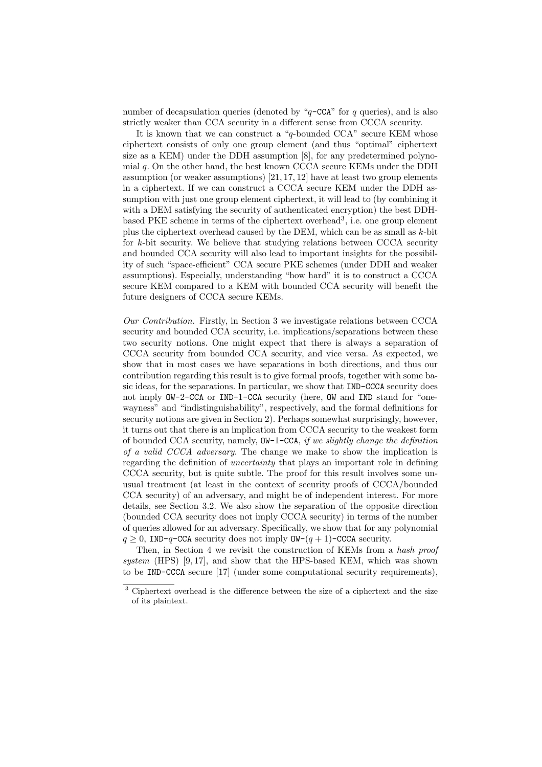number of decapsulation queries (denoted by " $q$ -CCA" for q queries), and is also strictly weaker than CCA security in a different sense from CCCA security.

It is known that we can construct a "*q*-bounded CCA" secure KEM whose ciphertext consists of only one group element (and thus "optimal" ciphertext size as a KEM) under the DDH assumption [8], for any predetermined polynomial *q*. On the other hand, the best known CCCA secure KEMs under the DDH assumption (or weaker assumptions) [21, 17, 12] have at least two group elements in a ciphertext. If we can construct a CCCA secure KEM under the DDH assumption with just one group element ciphertext, it will lead to (by combining it with a DEM satisfying the security of authenticated encryption) the best DDHbased PKE scheme in terms of the ciphertext overhead<sup>3</sup>, i.e. one group element plus the ciphertext overhead caused by the DEM, which can be as small as *k*-bit for *k*-bit security. We believe that studying relations between CCCA security and bounded CCA security will also lead to important insights for the possibility of such "space-efficient" CCA secure PKE schemes (under DDH and weaker assumptions). Especially, understanding "how hard" it is to construct a CCCA secure KEM compared to a KEM with bounded CCA security will benefit the future designers of CCCA secure KEMs.

*Our Contribution.* Firstly, in Section 3 we investigate relations between CCCA security and bounded CCA security, i.e. implications/separations between these two security notions. One might expect that there is always a separation of CCCA security from bounded CCA security, and vice versa. As expected, we show that in most cases we have separations in both directions, and thus our contribution regarding this result is to give formal proofs, together with some basic ideas, for the separations. In particular, we show that IND-CCCA security does not imply OW-2-CCA or IND-1-CCA security (here, OW and IND stand for "onewayness" and "indistinguishability", respectively, and the formal definitions for security notions are given in Section 2). Perhaps somewhat surprisingly, however, it turns out that there is an implication from CCCA security to the weakest form of bounded CCA security, namely, OW-1-CCA, *if we slightly change the definition of a valid CCCA adversary*. The change we make to show the implication is regarding the definition of *uncertainty* that plays an important role in defining CCCA security, but is quite subtle. The proof for this result involves some unusual treatment (at least in the context of security proofs of CCCA/bounded CCA security) of an adversary, and might be of independent interest. For more details, see Section 3.2. We also show the separation of the opposite direction (bounded CCA security does not imply CCCA security) in terms of the number of queries allowed for an adversary. Specifically, we show that for any polynomial  $q \geq 0$ , IND- $q$ -CCA security does not imply  $\mathsf{OW}-(q+1)$ -CCCA security.

Then, in Section 4 we revisit the construction of KEMs from a *hash proof system* (HPS) [9, 17], and show that the HPS-based KEM, which was shown to be IND-CCCA secure [17] (under some computational security requirements),

<sup>3</sup> Ciphertext overhead is the difference between the size of a ciphertext and the size of its plaintext.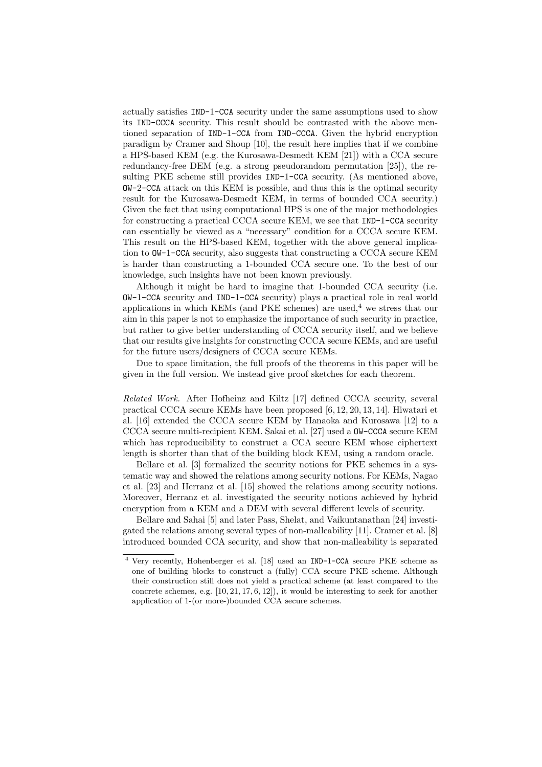actually satisfies IND-1-CCA security under the same assumptions used to show its IND-CCCA security. This result should be contrasted with the above mentioned separation of IND-1-CCA from IND-CCCA. Given the hybrid encryption paradigm by Cramer and Shoup [10], the result here implies that if we combine a HPS-based KEM (e.g. the Kurosawa-Desmedt KEM [21]) with a CCA secure redundancy-free DEM (e.g. a strong pseudorandom permutation [25]), the resulting PKE scheme still provides IND-1-CCA security. (As mentioned above, OW-2-CCA attack on this KEM is possible, and thus this is the optimal security result for the Kurosawa-Desmedt KEM, in terms of bounded CCA security.) Given the fact that using computational HPS is one of the major methodologies for constructing a practical CCCA secure KEM, we see that IND-1-CCA security can essentially be viewed as a "necessary" condition for a CCCA secure KEM. This result on the HPS-based KEM, together with the above general implication to OW-1-CCA security, also suggests that constructing a CCCA secure KEM is harder than constructing a 1-bounded CCA secure one. To the best of our knowledge, such insights have not been known previously.

Although it might be hard to imagine that 1-bounded CCA security (i.e. OW-1-CCA security and IND-1-CCA security) plays a practical role in real world applications in which KEMs (and PKE schemes) are used,<sup>4</sup> we stress that our aim in this paper is not to emphasize the importance of such security in practice, but rather to give better understanding of CCCA security itself, and we believe that our results give insights for constructing CCCA secure KEMs, and are useful for the future users/designers of CCCA secure KEMs.

Due to space limitation, the full proofs of the theorems in this paper will be given in the full version. We instead give proof sketches for each theorem.

*Related Work.* After Hofheinz and Kiltz [17] defined CCCA security, several practical CCCA secure KEMs have been proposed [6, 12, 20, 13, 14]. Hiwatari et al. [16] extended the CCCA secure KEM by Hanaoka and Kurosawa [12] to a CCCA secure multi-recipient KEM. Sakai et al. [27] used a OW-CCCA secure KEM which has reproducibility to construct a CCA secure KEM whose ciphertext length is shorter than that of the building block KEM, using a random oracle.

Bellare et al. [3] formalized the security notions for PKE schemes in a systematic way and showed the relations among security notions. For KEMs, Nagao et al. [23] and Herranz et al. [15] showed the relations among security notions. Moreover, Herranz et al. investigated the security notions achieved by hybrid encryption from a KEM and a DEM with several different levels of security.

Bellare and Sahai [5] and later Pass, Shelat, and Vaikuntanathan [24] investigated the relations among several types of non-malleability [11]. Cramer et al. [8] introduced bounded CCA security, and show that non-malleability is separated

<sup>4</sup> Very recently, Hohenberger et al. [18] used an IND-1-CCA secure PKE scheme as one of building blocks to construct a (fully) CCA secure PKE scheme. Although their construction still does not yield a practical scheme (at least compared to the concrete schemes, e.g. [10, 21, 17, 6, 12]), it would be interesting to seek for another application of 1-(or more-)bounded CCA secure schemes.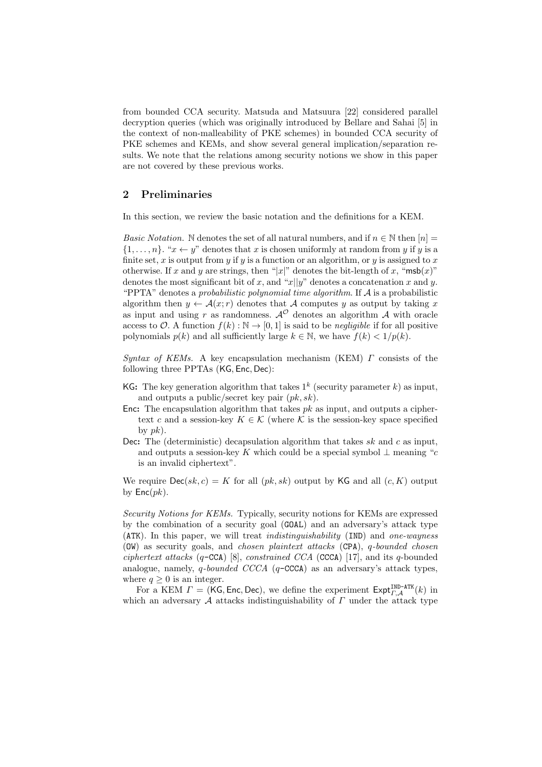from bounded CCA security. Matsuda and Matsuura [22] considered parallel decryption queries (which was originally introduced by Bellare and Sahai [5] in the context of non-malleability of PKE schemes) in bounded CCA security of PKE schemes and KEMs, and show several general implication/separation results. We note that the relations among security notions we show in this paper are not covered by these previous works.

## **2 Preliminaries**

In this section, we review the basic notation and the definitions for a KEM.

*Basic Notation.* N denotes the set of all natural numbers, and if  $n \in \mathbb{N}$  then  $[n] =$  $\{1, \ldots, n\}$ . " $x \leftarrow y$ " denotes that *x* is chosen uniformly at random from *y* if *y* is a finite set,  $x$  is output from  $y$  if  $y$  is a function or an algorithm, or  $y$  is assigned to  $x$ otherwise. If *x* and *y* are strings, then "|*x*|" denotes the bit-length of *x*, "msb(*x*)" denotes the most significant bit of *x*, and " $x||y$ " denotes a concatenation *x* and *y*. "PPTA" denotes a *probabilistic polynomial time algorithm*. If *A* is a probabilistic algorithm then  $y \leftarrow \mathcal{A}(x; r)$  denotes that A computes y as output by taking x as input and using  $r$  as randomness.  $A^{\mathcal{O}}$  denotes an algorithm  $A$  with oracle access to *O*. A function  $f(k): \mathbb{N} \to [0, 1]$  is said to be *negligible* if for all positive polynomials  $p(k)$  and all sufficiently large  $k \in \mathbb{N}$ , we have  $f(k) < 1/p(k)$ .

*Syntax of KEMs.* A key encapsulation mechanism (KEM) *Γ* consists of the following three PPTAs (KG*,* Enc*,* Dec):

- KG: The key generation algorithm that takes  $1^k$  (security parameter k) as input, and outputs a public/secret key pair (*pk, sk*).
- Enc**:** The encapsulation algorithm that takes *pk* as input, and outputs a ciphertext *c* and a session-key  $K \in \mathcal{K}$  (where  $\mathcal{K}$  is the session-key space specified by *pk*).
- Dec**:** The (deterministic) decapsulation algorithm that takes *sk* and *c* as input, and outputs a session-key *K* which could be a special symbol  $\perp$  meaning "*c* is an invalid ciphertext".

We require  $\text{Dec}(sk, c) = K$  for all  $(pk, sk)$  output by KG and all  $(c, K)$  output by Enc(*pk*).

*Security Notions for KEMs.* Typically, security notions for KEMs are expressed by the combination of a security goal (GOAL) and an adversary's attack type (ATK). In this paper, we will treat *indistinguishability* (IND) and *one-wayness* (OW) as security goals, and *chosen plaintext attacks* (CPA), *q-bounded chosen ciphertext attacks* (*q*-CCA) [8], *constrained CCA* (CCCA) [17], and its *q*-bounded analogue, namely, *q-bounded CCCA* (*q*-CCCA) as an adversary's attack types, where  $q \geq 0$  is an integer.

For a KEM  $\Gamma = (KG, Enc, Dec)$ , we define the experiment  $Expt_{T,A}^{IND-ATK}(k)$  in which an adversary *A* attacks indistinguishability of *Γ* under the attack type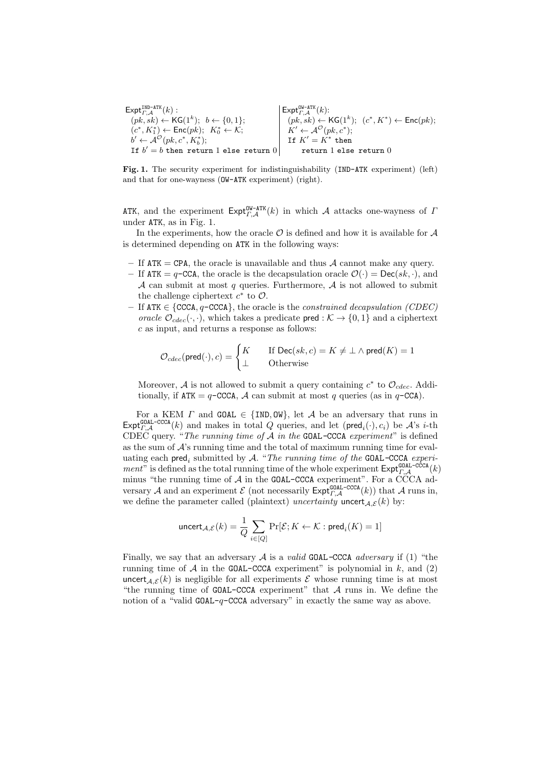```
\mathsf{Expt}_{\varGamma,\mathcal{A}}^{\mathsf{IND-ATK}}(k):(pk, sk) \leftarrow \mathsf{KG}(1^k); b \leftarrow \{0, 1\};(c^*, K_1^*) ← Enc(pk); K_0^* ← K;
b' \leftarrow \mathcal{A}^{\mathcal{O}}(pk, c^*, K_b^*);
If b' = b then return 1 else return 0\mathsf{Expt}_{\varGamma,\mathcal{A}}^{\mathsf{OW-ATK}}(k):
                                                                                   (pk, sk) \leftarrow \mathsf{KG}(1^k); \ \ (c^*, K^*) \leftarrow \mathsf{Enc}(pk);K' \leftarrow \mathcal{A}^{\mathcal{O}}(pk, c^*);
                                                                                   If K' = K^* then
                                                                                         return 1 else return 0
```
Fig. 1. The security experiment for indistinguishability (IND-ATK experiment) (left) and that for one-wayness (OW-ATK experiment) (right).

ATK, and the experiment  $\text{Expt}_{T,\mathcal{A}}^{\text{DW-ATK}}(k)$  in which  $\mathcal A$  attacks one-wayness of *Γ* under ATK, as in Fig. 1.

In the experiments, how the oracle  $\mathcal O$  is defined and how it is available for  $\mathcal A$ is determined depending on ATK in the following ways:

- **–** If ATK = CPA, the oracle is unavailable and thus *A* cannot make any query.
- **–** If ATK =  $q$ -CCA, the oracle is the decapsulation oracle  $\mathcal{O}(\cdot)$  = Dec( $sk, \cdot$ ), and *A* can submit at most *q* queries. Furthermore, *A* is not allowed to submit the challenge ciphertext  $c^*$  to  $\mathcal{O}$ .
- **–** If ATK *∈ {*CCCA*, q*-CCCA*}*, the oracle is the *constrained decapsulation (CDEC) oracle*  $\mathcal{O}_{cdec}(\cdot, \cdot)$ , which takes a predicate pred :  $K \to \{0, 1\}$  and a ciphertext *c* as input, and returns a response as follows:

$$
\mathcal{O}_{cdec}(\mathsf{pred}(\cdot),c) = \begin{cases} K & \quad \text{If } \mathsf{Dec}(sk,c) = K \neq \bot \wedge \mathsf{pred}(K) = 1 \\ \bot & \quad \text{Otherwise} \end{cases}
$$

Moreover, *A* is not allowed to submit a query containing *c ∗* to *Ocdec*. Additionally, if  $ATK = q$ -CCCA,  $\mathcal A$  can submit at most  $q$  queries (as in  $q$ -CCA).

For a KEM *Γ* and **GOAL**  $\in$  {IND, OW}, let *A* be an adversary that runs in  $\text{Expt}_{\mathcal{L},\mathcal{A}}^{\text{GOL}-\text{CCCA}}(k)$  and makes in total *Q* queries, and let (pred<sub>*i*</sub>(·)*, c<sub>i</sub>*) be *A*'s *i*-th CDEC query. "*The running time of A in the* GOAL*-*CCCA *experiment*" is defined as the sum of *A*'s running time and the total of maximum running time for evaluating each pred*<sup>i</sup>* submitted by *A*. "*The running time of the* GOAL*-*CCCA *experiment*" is defined as the total running time of the whole experiment  $\text{Expt}_{\text{C}}^{\text{GOL}-\text{CCCA}}(k)$ minus "the running time of  $A$  in the GOAL-CCCA experiment". For a CCCA adversary *A* and an experiment  $\mathcal{E}$  (not necessarily  $\mathsf{Expt}_{T,\mathcal{A}}^{\mathsf{COLL-CCCA}}(k)$ ) that *A* runs in, we define the parameter called (plaintext) *uncertainty* **uncert**<sub>*A*</sub> $\mathcal{E}(k)$  by:

$$
\text{uncert}_{\mathcal{A}, \mathcal{E}}(k) = \frac{1}{Q} \sum_{i \in [Q]} \Pr[\mathcal{E}; K \leftarrow \mathcal{K}: \text{pred}_i(K) = 1]
$$

Finally, we say that an adversary *A* is a *valid* GOAL*-*CCCA *adversary* if (1) "the running time of  $A$  in the GOAL-CCCA experiment" is polynomial in  $k$ , and  $(2)$ uncert<sub>A</sub> $_{\mathcal{E}}(k)$  is negligible for all experiments  $\mathcal{E}$  whose running time is at most "the running time of GOAL-CCCA experiment" that *A* runs in. We define the notion of a "valid GOAL-*q*-CCCA adversary" in exactly the same way as above.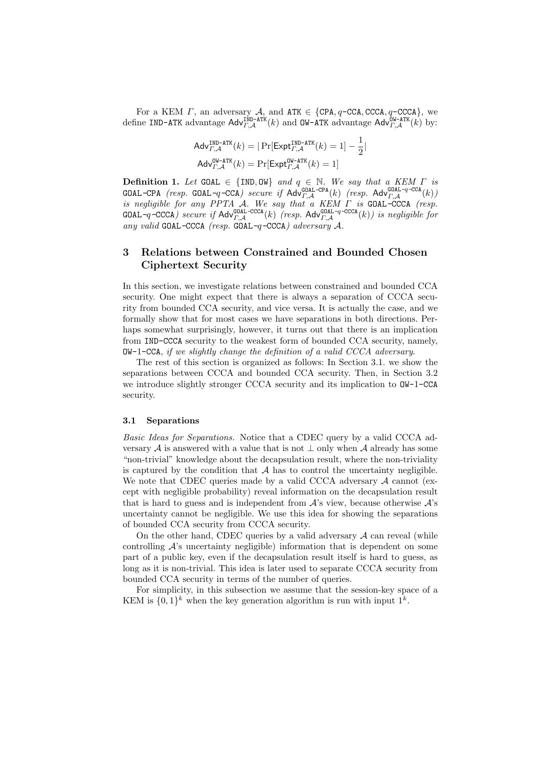For a KEM *Γ*, an adversary *A*, and ATK *∈ {*CPA*, q*-CCA*,* CCCA*, q*-CCCA*}*, we define IND-ATK advantage  $\text{Adv}_{\mathit{I',A}}^{\text{IND-ATK}}(k)$  and  $\text{OW-ATK}$  advantage  $\text{Adv}_{\mathit{I',A}}^{\text{OW-ATK}}(k)$  by:

$$
\begin{aligned} \mathsf{Adv}_{\varGamma,\mathcal{A}}^{\mathsf{IND-ATK}}(k) &= |\Pr[\mathsf{Expt}_{\varGamma,\mathcal{A}}^{\mathsf{IND-ATK}}(k) = 1] - \frac{1}{2}| \\ \mathsf{Adv}_{\varGamma,\mathcal{A}}^{\mathsf{OW-ATK}}(k) &= \Pr[\mathsf{Expt}_{\varGamma,\mathcal{A}}^{\mathsf{OW-ATK}}(k) = 1] \end{aligned}
$$

**Definition 1.** *Let* GOAL *∈ {*IND*,* OW*} and q ∈* N*. We say that a KEM Γ is* **GOAL-CPA** (resp. GOAL-q-CCA) secure if  $\mathsf{Adv}_{\mathit{r,A}}^{\mathsf{GOAL-CPA}}(k)$  (resp.  $\mathsf{Adv}_{\mathit{r,A}}^{\mathsf{GOAL-q-CCA}}(k)$ ) is negligible for any PPTA A. We say that a KEM  $\Gamma$  is GOAL-CCCA (resp.  $GOLL - q$ <sup>-</sup>CCCA</sub>) secure if  $Adv_{\Gamma,A}^{\text{GOLL-CCCA}}(k)$  (resp.  $Adv_{\Gamma,A}^{\text{GOLL-}q}$ -CCCA<sub></sub> $(k)$ ) is negligible for *any valid* GOAL*-*CCCA *(resp.* GOAL*-q-*CCCA*) adversary A.*

## **3 Relations between Constrained and Bounded Chosen Ciphertext Security**

In this section, we investigate relations between constrained and bounded CCA security. One might expect that there is always a separation of CCCA security from bounded CCA security, and vice versa. It is actually the case, and we formally show that for most cases we have separations in both directions. Perhaps somewhat surprisingly, however, it turns out that there is an implication from IND-CCCA security to the weakest form of bounded CCA security, namely, OW-1-CCA, *if we slightly change the definition of a valid CCCA adversary*.

The rest of this section is organized as follows: In Section 3.1. we show the separations between CCCA and bounded CCA security. Then, in Section 3.2 we introduce slightly stronger CCCA security and its implication to OW-1-CCA security.

#### **3.1 Separations**

*Basic Ideas for Separations.* Notice that a CDEC query by a valid CCCA adversary *A* is answered with a value that is not *⊥* only when *A* already has some "non-trivial" knowledge about the decapsulation result, where the non-triviality is captured by the condition that  $A$  has to control the uncertainty negligible. We note that CDEC queries made by a valid CCCA adversary *A* cannot (except with negligible probability) reveal information on the decapsulation result that is hard to guess and is independent from  $\mathcal{A}$ 's view, because otherwise  $\mathcal{A}$ 's uncertainty cannot be negligible. We use this idea for showing the separations of bounded CCA security from CCCA security.

On the other hand, CDEC queries by a valid adversary *A* can reveal (while controlling *A*'s uncertainty negligible) information that is dependent on some part of a public key, even if the decapsulation result itself is hard to guess, as long as it is non-trivial. This idea is later used to separate CCCA security from bounded CCA security in terms of the number of queries.

For simplicity, in this subsection we assume that the session-key space of a KEM is  $\{0,1\}^k$  when the key generation algorithm is run with input  $1^k$ .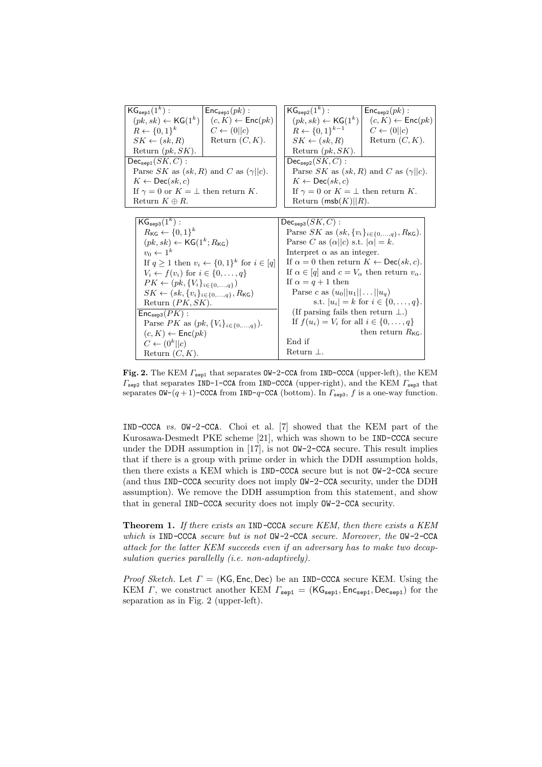| $\mathsf{KG}_{\mathsf{sep1}}(1^k):$                               | $\mathsf{Enc}_{\mathsf{sep1}}(pk)$ : | $KG_{\text{sep2}}(1^k):$                                            | $Encsep2(pk)$ :                      |
|-------------------------------------------------------------------|--------------------------------------|---------------------------------------------------------------------|--------------------------------------|
| $(pk, sk) \leftarrow {\sf KG}(1^k)$                               |                                      | $(pk, sk) \leftarrow {\sf KG}(1^k)$                                 |                                      |
|                                                                   | $(c, K) \leftarrow \mathsf{Enc}(pk)$ |                                                                     | $(c, K) \leftarrow \mathsf{Enc}(pk)$ |
| $R \leftarrow \{0,1\}^k$                                          | $C \leftarrow (0  c)$                | $R \leftarrow \{0,1\}^{k-1}$                                        | $C \leftarrow (0  c)$                |
| $SK \leftarrow (sk, R)$                                           | Return $(C, K)$ .                    | $SK \leftarrow (sk, R)$                                             | Return $(C, K)$ .                    |
| Return $(pk, SK)$ .                                               |                                      | Return $(pk, SK)$ .                                                 |                                      |
| $\mathsf{Dec}_{\mathsf{sep1}}(SK, C)$ :                           |                                      | $\mathsf{Dec}_{\mathtt{sep2}}(SK, C)$ :                             |                                      |
| Parse SK as $(sk, R)$ and C as $(\gamma    c)$ .                  |                                      | Parse SK as $(sk, R)$ and C as $(\gamma    c)$ .                    |                                      |
| $K \leftarrow \mathsf{Dec}(sk, c)$                                |                                      | $K \leftarrow \mathsf{Dec}(sk, c)$                                  |                                      |
| If $\gamma = 0$ or $K = \perp$ then return K.                     |                                      | If $\gamma = 0$ or $K = \perp$ then return K.                       |                                      |
| Return $K \oplus R$ .                                             |                                      | Return (msb $(K)  R$ ).                                             |                                      |
|                                                                   |                                      |                                                                     |                                      |
| $KG_{\text{sep3}}(1^k):$                                          |                                      | $Dec_{\text{sep3}}(SK, C)$ :                                        |                                      |
| $R_{\mathsf{KG}} \leftarrow \{0,1\}^k$                            |                                      | Parse SK as $(sk, \{v_i\}_{i \in \{0,,q\}}, R_{\mathsf{KG}}).$      |                                      |
| $(pk, sk) \leftarrow {\sf KG}(1^k; R_{\sf KG})$                   |                                      | Parse C as $(\alpha  c)$ s.t. $ \alpha =k$ .                        |                                      |
| $v_0 \leftarrow 1^k$                                              |                                      | Interpret $\alpha$ as an integer.                                   |                                      |
|                                                                   |                                      | If $\alpha = 0$ then return $K \leftarrow \mathsf{Dec}(sk, c)$ .    |                                      |
| If $q \geq 1$ then $v_i \leftarrow \{0,1\}^k$ for $i \in [q]$     |                                      | If $\alpha \in [q]$ and $c = V_{\alpha}$ then return $v_{\alpha}$ . |                                      |
| $V_i \leftarrow f(v_i)$ for $i \in \{0, \ldots, q\}$              |                                      |                                                                     |                                      |
| $PK \leftarrow (pk, \{V_i\}_{i \in \{0,\ldots,a\}})$              |                                      | If $\alpha = q + 1$ then                                            |                                      |
| $SK \leftarrow (sk, \{v_i\}_{i \in \{0, , q\}}, R_{\mathsf{KG}})$ |                                      | Parse c as $(u_0  u_1   \dots   u_n)$                               |                                      |
| Return $(PK, SK)$ .                                               |                                      | s.t. $ u_i  = k$ for $i \in \{0, , q\}.$                            |                                      |
| Enc <sub>sep3</sub> (PK):                                         |                                      | (If parsing fails then return $\perp$ .)                            |                                      |
| Parse <i>PK</i> as $(pk, \{V_i\}_{i \in \{0, , q\}})$ .           |                                      | If $f(u_i) = V_i$ for all $i \in \{0, \ldots, q\}$                  |                                      |
| $(c, K) \leftarrow \mathsf{Enc}(pk)$                              |                                      | then return $R_{\text{KG}}$ .                                       |                                      |
| $C \leftarrow (0^k    c)$                                         |                                      | End if                                                              |                                      |
| Return $(C, K)$ .                                                 |                                      | Return $\perp$ .                                                    |                                      |

**Fig. 2.** The KEM *Γ*sep1 that separates OW-2-CCA from IND-CCCA (upper-left), the KEM *Γ*sep2 that separates IND-1-CCA from IND-CCCA (upper-right), and the KEM *Γ*sep3 that separates OW-(*q* + 1)-CCCA from IND-*q*-CCA (bottom). In *Γ*sep3, *f* is a one-way function.

IND*-*CCCA *vs.* OW*-*2*-*CCA*.* Choi et al. [7] showed that the KEM part of the Kurosawa-Desmedt PKE scheme [21], which was shown to be IND-CCCA secure under the DDH assumption in [17], is not  $\alpha$  OW-2-CCA secure. This result implies that if there is a group with prime order in which the DDH assumption holds, then there exists a KEM which is IND-CCCA secure but is not OW-2-CCA secure (and thus IND-CCCA security does not imply OW-2-CCA security, under the DDH assumption). We remove the DDH assumption from this statement, and show that in general IND-CCCA security does not imply OW-2-CCA security.

**Theorem 1.** *If there exists an* IND*-*CCCA *secure KEM, then there exists a KEM which is* IND*-*CCCA *secure but is not* OW*-*2*-*CCA *secure. Moreover, the* OW*-*2*-*CCA *attack for the latter KEM succeeds even if an adversary has to make two decapsulation queries parallelly (i.e. non-adaptively).*

*Proof Sketch.* Let *Γ* = (KG*,* Enc*,* Dec) be an IND-CCCA secure KEM. Using the KEM *Γ*, we construct another KEM  $\Gamma_{\text{sep1}} = (\text{KG}_{\text{sep1}}, \text{Enc}_{\text{sep1}}, \text{Dec}_{\text{sep1}})$  for the separation as in Fig. 2 (upper-left).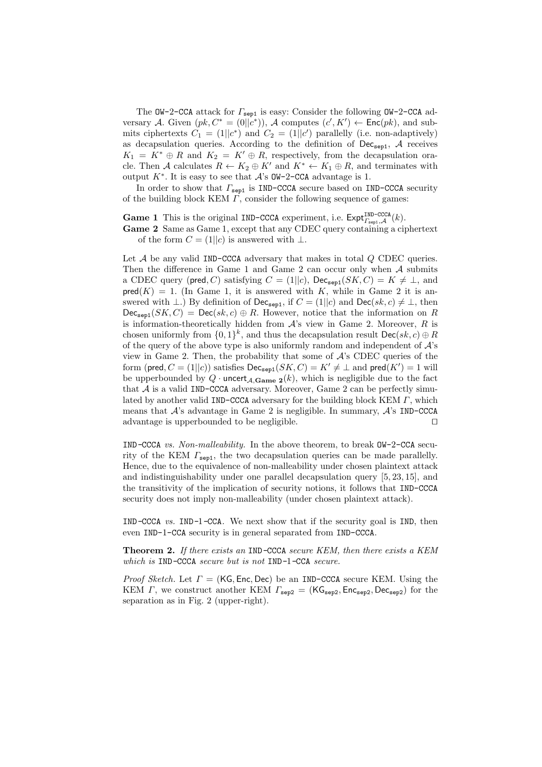The OW-2-CCA attack for  $\Gamma_{\text{sep1}}$  is easy: Consider the following OW-2-CCA adversary *A*. Given  $(pk, C^* = (0||c^*))$ , *A* computes  $(c', K') \leftarrow \text{Enc}(pk)$ , and submits ciphertexts  $C_1 = (1||c^*)$  and  $C_2 = (1||c^*)$  parallelly (i.e. non-adaptively) as decapsulation queries. According to the definition of  $\text{Dec}_{\text{sep1}}$ , *A* receives  $K_1 = K^* \oplus R$  and  $K_2 = K' \oplus R$ , respectively, from the decapsulation oracle. Then *A* calculates  $R \leftarrow K_2 \oplus K'$  and  $K^* \leftarrow K_1 \oplus R$ , and terminates with output  $K^*$ . It is easy to see that  $\mathcal{A}$ 's  $\mathsf{OW-}2\mathsf{-CCA}$  advantage is 1.

In order to show that  $\Gamma_{\text{sep1}}$  is IND-CCCA secure based on IND-CCCA security of the building block KEM *Γ*, consider the following sequence of games:

# **Game 1** This is the original IND-CCCA experiment, i.e.  $\text{Expt}_{\Gamma_{\text{sep1}},\mathcal{A}}^{\text{IND-CCCA}}(k)$ .

Game 2 Same as Game 1, except that any CDEC query containing a ciphertext of the form  $C = (1||c)$  is answered with  $\perp$ .

Let *A* be any valid IND-CCCA adversary that makes in total *Q* CDEC queries. Then the difference in Game 1 and Game 2 can occur only when *A* submits a CDEC query (pred, C) satisfying  $C = (1||c)$ ,  $Dec_{\text{sep1}}(SK, C) = K \neq \bot$ , and  $\textsf{pred}(K) = 1$ . (In Game 1, it is answered with *K*, while in Game 2 it is answered with *⊥*.) By definition of  $\textsf{Dec}_{\textsf{sep1}}$ , if  $C = (1||c)$  and  $\textsf{Dec}(sk, c) \neq \bot$ , then  $Dec_{\text{sep1}}(SK, C) = Dec(sk, c) \oplus R$ . However, notice that the information on *R* is information-theoretically hidden from *A*'s view in Game 2. Moreover, *R* is chosen uniformly from  $\{0,1\}^k$ , and thus the decapsulation result  $\mathsf{Dec}(sk, c) \oplus R$ of the query of the above type is also uniformly random and independent of *A*'s view in Game 2. Then, the probability that some of *A*'s CDEC queries of the form  $(\mathsf{pred}, C = (1||c))$  satisfies  $\mathsf{Dec}_{\mathsf{sep1}}(SK, C) = K' \neq \bot$  and  $\mathsf{pred}(K') = 1$  will be upperbounded by  $Q \cdot$  uncert<sub>A</sub>,  $\mathbf{Game}$   $\mathbf{z}(k)$ , which is negligible due to the fact that  $A$  is a valid IND-CCCA adversary. Moreover, Game 2 can be perfectly simulated by another valid IND-CCCA adversary for the building block KEM *Γ*, which means that *A*'s advantage in Game 2 is negligible. In summary, *A*'s IND-CCCA advantage is upperbounded to be negligible. *⊓⊔*

IND*-*CCCA *vs. Non-malleability.* In the above theorem, to break OW-2-CCA security of the KEM *Γ*sep1, the two decapsulation queries can be made parallelly. Hence, due to the equivalence of non-malleability under chosen plaintext attack and indistinguishability under one parallel decapsulation query [5, 23, 15], and the transitivity of the implication of security notions, it follows that IND-CCCA security does not imply non-malleability (under chosen plaintext attack).

IND*-*CCCA *vs.* IND*-*1*-*CCA*.* We next show that if the security goal is IND, then even IND-1-CCA security is in general separated from IND-CCCA.

**Theorem 2.** *If there exists an* IND*-*CCCA *secure KEM, then there exists a KEM which is* IND*-*CCCA *secure but is not* IND*-*1*-*CCA *secure.*

*Proof Sketch.* Let *Γ* = (KG*,* Enc*,* Dec) be an IND-CCCA secure KEM. Using the KEM *Γ*, we construct another KEM  $\Gamma_{\text{sep2}} = (\text{KG}_{\text{sep2}}, \text{Enc}_{\text{sep2}}, \text{Dec}_{\text{sep2}})$  for the separation as in Fig. 2 (upper-right).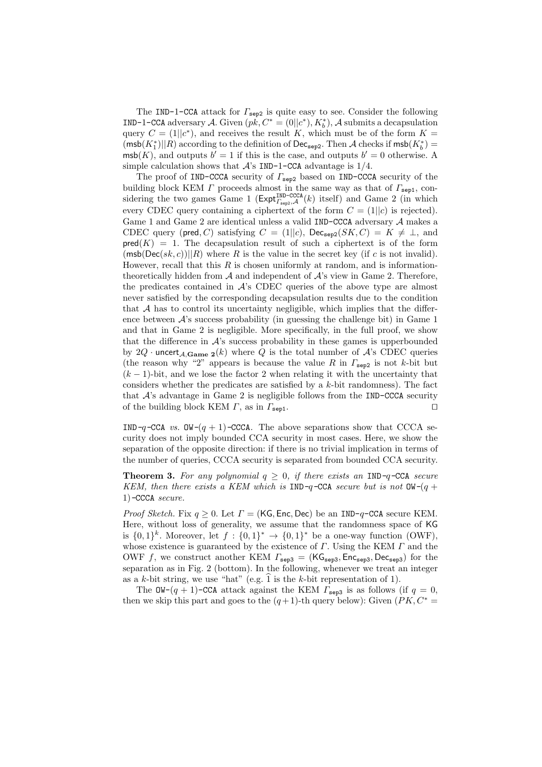The IND-1-CCA attack for *Γ*sep2 is quite easy to see. Consider the following IND-1-CCA adversary *A*. Given  $(pk, C^* = (0||c^*), K_b^*)$ , *A* submits a decapsulation query  $C = (1||c^*)$ , and receives the result *K*, which must be of the form  $K =$  $(\text{msb}(K_1^*)||R)$  according to the definition of  $\text{Dec}_{\text{sep2}}$ . Then *A* checks if  $\text{msb}(K_b^*) =$  $\mathsf{msb}(K)$ , and outputs  $b' = 1$  if this is the case, and outputs  $b' = 0$  otherwise. A simple calculation shows that *A*'s IND-1-CCA advantage is 1*/*4.

The proof of IND-CCCA security of *Γ*sep2 based on IND-CCCA security of the building block KEM *Γ* proceeds almost in the same way as that of *Γ*sep1, considering the two games Game 1 ( $\text{Expt}_{T_{\text{sep2}},\mathcal{A}}^{\text{IND-CCCA}}(k)$  itself) and Game 2 (in which every CDEC query containing a ciphertext of the form  $C = (1||c)$  is rejected). Game 1 and Game 2 are identical unless a valid IND-CCCA adversary *A* makes a CDEC query (pred, C) satisfying  $C = (1||c)$ , Dec<sub>sep2</sub>(*SK, C*) =  $K \neq \bot$ , and  $pred(K) = 1$ . The decapsulation result of such a ciphertext is of the form  $(msb(Dec(sk, c))||R)$  where *R* is the value in the secret key (if *c* is not invalid). However, recall that this *R* is chosen uniformly at random, and is informationtheoretically hidden from *A* and independent of *A*'s view in Game 2. Therefore, the predicates contained in  $\mathcal{A}$ 's CDEC queries of the above type are almost never satisfied by the corresponding decapsulation results due to the condition that *A* has to control its uncertainty negligible, which implies that the difference between  $\mathcal{A}$ 's success probability (in guessing the challenge bit) in Game 1 and that in Game 2 is negligible. More specifically, in the full proof, we show that the difference in  $\mathcal{A}$ 's success probability in these games is upperbounded by 2*Q*  $\cdot$  uncert<sub>*A*</sub>, Game 2</sub>(*k*) where *Q* is the total number of *A*'s CDEC queries (the reason why "2" appears is because the value *R* in  $\Gamma_{\text{sep2}}$  is not *k*-bit but  $(k-1)$ -bit, and we lose the factor 2 when relating it with the uncertainty that considers whether the predicates are satisfied by a *k*-bit randomness). The fact that  $A$ 's advantage in Game 2 is negligible follows from the IND-CCCA security of the building block KEM *Γ*, as in *Γ*sep1. *⊓⊔*

IND-*q*-CCA *vs.* OW- $(q + 1)$ -CCCA. The above separations show that CCCA security does not imply bounded CCA security in most cases. Here, we show the separation of the opposite direction: if there is no trivial implication in terms of the number of queries, CCCA security is separated from bounded CCA security.

**Theorem 3.** For any polynomial  $q \geq 0$ , if there exists an IND- $q$ -CCA secure *KEM, then there exists a KEM which is* IND- $q$ -CCA *secure but is not*  $\text{OW-}(q +$ 1)*-*CCCA *secure.*

*Proof Sketch.* Fix  $q \ge 0$ . Let  $\Gamma = (\text{KG}, \text{Enc}, \text{Dec})$  be an IND- $q$ -CCA secure KEM. Here, without loss of generality, we assume that the randomness space of KG is  $\{0,1\}^k$ . Moreover, let  $f: \{0,1\}^* \to \{0,1\}^*$  be a one-way function (OWF), whose existence is guaranteed by the existence of *Γ*. Using the KEM *Γ* and the OWF *f*, we construct another KEM  $\Gamma_{\text{sep3}} = (KG_{\text{sep3}}, Enc_{\text{sep3}}, Dec_{\text{sep3}})$  for the separation as in Fig. 2 (bottom). In the following, whenever we treat an integer as a *k*-bit string, we use "hat" (e.g.  $\hat{1}$  is the *k*-bit representation of 1).

The  $\text{OW-}(q+1)$ -CCA attack against the KEM  $\Gamma_{\text{sep3}}$  is as follows (if  $q=0$ , then we skip this part and goes to the  $(q+1)$ -th query below): Given  $(PK, C^*)$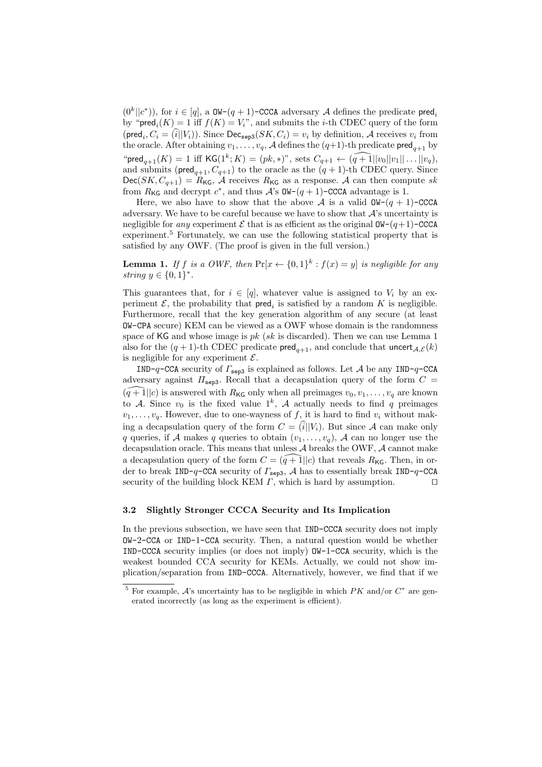(0<sup>*k*</sup>| $|c^*$ )), for *i* ∈ [*q*], a 0W-(*q* + 1)-CCCA adversary *A* defines the predicate pred<sub>*i*</sub> by " $\mathsf{pred}_i(K) = 1$  iff  $f(K) = V_i$ ", and submits the *i*-th CDEC query of the form  $(\text{pred}_i, C_i = (i||V_i))$ . Since  $\text{Dec}_{\text{sep3}}(SK, C_i) = v_i$  by definition, *A* receives  $v_i$  from the oracle. After obtaining  $v_1, \ldots, v_q$ , *A* defines the  $(q+1)$ -th predicate  $\text{pred}_{q+1}$  by " $\mathsf{pred}_{q+1}(K) = 1$  iff  $\mathsf{KG}(1^k; K) = (pk, *)$ ", sets  $C_{q+1} \leftarrow (\widehat{q+1}||v_0||v_1|| \dots ||v_q)$ , and submits ( $\text{pred}_{q+1}, C_{q+1}$ ) to the oracle as the  $(q+1)$ -th CDEC query. Since  $Dec(SK, C_{q+1}) = R_{\mathsf{KG}}$ , A receives  $R_{\mathsf{KG}}$  as a response. A can then compute *sk* from  $R_{\mathsf{KG}}$  and decrypt  $c^*$ , and thus  $\mathcal{A}$ 's  $\mathsf{OW}-(q+1)-\mathsf{CCCA}$  advantage is 1.

Here, we also have to show that the above A is a valid  $\text{OW-}(q + 1)$ -CCCA adversary. We have to be careful because we have to show that  $A$ 's uncertainty is negligible for *any* experiment  $\mathcal E$  that is as efficient as the original  $\text{OW-}(q+1)-\text{CCCA}$ experiment.<sup>5</sup> Fortunately, we can use the following statistical property that is satisfied by any OWF. (The proof is given in the full version.)

**Lemma 1.** *If f is a OWF*, *then*  $Pr[x \leftarrow \{0, 1\}^k : f(x) = y]$  *is negligible for any string*  $y \in \{0, 1\}^*$ .

This guarantees that, for  $i \in [q]$ , whatever value is assigned to  $V_i$  by an experiment  $\mathcal{E}$ , the probability that  $\text{pred}_i$  is satisfied by a random  $K$  is negligible. Furthermore, recall that the key generation algorithm of any secure (at least OW-CPA secure) KEM can be viewed as a OWF whose domain is the randomness space of KG and whose image is *pk* (*sk* is discarded). Then we can use Lemma 1 also for the  $(q + 1)$ -th CDEC predicate  $\text{pred}_{q+1}$ , and conclude that  $\text{uncert}_{\mathcal{A},\mathcal{E}}(k)$ is negligible for any experiment  $\mathcal{E}$ .

IND- $q$ -CCA security of  $\Gamma_{\text{sep3}}$  is explained as follows. Let  $\mathcal A$  be any IND- $q$ -CCA adversary against  $\Pi_{\text{sep3}}$ . Recall that a decapsulation query of the form  $C =$  $(\widehat{q+1}||c)$  is answered with  $R_{\mathsf{KG}}$  only when all preimages  $v_0, v_1, \ldots, v_q$  are known to *A*. Since  $v_0$  is the fixed value  $1^k$ , *A* actually needs to find *q* preimages  $v_1, \ldots, v_q$ . However, due to one-wayness of f, it is hard to find  $v_i$  without making a decapsulation query of the form  $C = \hat{u}(|V_i)$ . But since A can make only *q* queries, if *A* makes *q* queries to obtain  $(v_1, \ldots, v_q)$ , *A* can no longer use the decapsulation oracle. This means that unless *A* breaks the OWF, *A* cannot make a decapsulation query of the form  $C = (\overline{q+1}||c)$  that reveals  $R_{\mathsf{KG}}$ . Then, in order to break IND-*q*-CCA security of *Γ*sep3, *A* has to essentially break IND-*q*-CCA security of the building block KEM  $\Gamma$ , which is hard by assumption.  $\Box$ 

#### **3.2 Slightly Stronger CCCA Security and Its Implication**

In the previous subsection, we have seen that IND-CCCA security does not imply OW-2-CCA or IND-1-CCA security. Then, a natural question would be whether IND-CCCA security implies (or does not imply) OW-1-CCA security, which is the weakest bounded CCA security for KEMs. Actually, we could not show implication/separation from IND-CCCA. Alternatively, however, we find that if we

<sup>&</sup>lt;sup>5</sup> For example,  $\mathcal{A}$ 's uncertainty has to be negligible in which  $PK$  and/or  $C^*$  are generated incorrectly (as long as the experiment is efficient).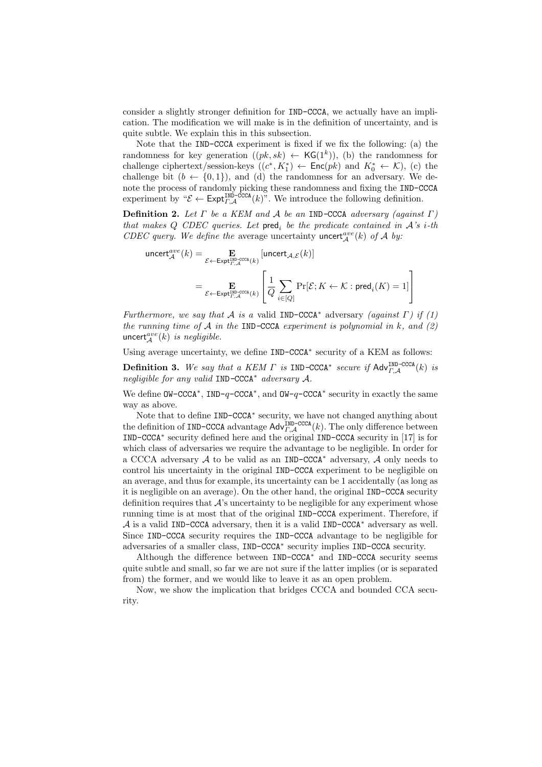consider a slightly stronger definition for IND-CCCA, we actually have an implication. The modification we will make is in the definition of uncertainty, and is quite subtle. We explain this in this subsection.

Note that the IND-CCCA experiment is fixed if we fix the following: (a) the randomness for key generation  $((pk, sk) \leftarrow {\sf KG}(1^k)$ , (b) the randomness for challenge ciphertext/session-keys  $((c^*, K_1^*) \leftarrow \text{Enc}(pk)$  and  $K_0^* \leftarrow \mathcal{K}$ , (c) the challenge bit  $(b \leftarrow \{0,1\})$ , and (d) the randomness for an adversary. We denote the process of randomly picking these randomness and fixing the IND-CCCA experiment by " $\mathcal{E} \leftarrow \text{Expt}_{T,\mathcal{A}}^{\text{IND-CCCA}}(k)$ ". We introduce the following definition.

**Definition 2.** *Let Γ be a KEM and A be an* IND*-*CCCA *adversary (against Γ) that makes Q CDEC queries. Let* pred*<sup>i</sup> be the predicate contained in A's i-th CDEC query. We define the average uncertainty uncert* $_A^{ave}(k)$  *of A by*:

$$
\begin{aligned} \text{uncert}^{\text{ave}}_{\mathcal{A}}(k) &= \underset{\mathcal{E} \gets \text{Expt}^{\text{imp--}\text{coat}}_{\varGamma, \mathcal{A}}(k)}{\mathbf{E}} \big[\text{uncert}_{\mathcal{A}, \mathcal{E}}(k)\big] \\ &= \underset{\mathcal{E} \gets \text{Expt}^{\text{imp--}\text{coat}}_{\varGamma, \mathcal{A}}(k)}{\mathbf{E}} \left[ \frac{1}{Q} \sum_{i \in [Q]} \Pr[\mathcal{E}; K \gets \mathcal{K}: \text{pred}_i(K) = 1] \right] \end{aligned}
$$

*Furthermore, we say that A is a* valid IND-CCCA*<sup>∗</sup>* adversary *(against Γ) if (1) the running time of A in the* IND*-*CCCA *experiment is polynomial in k, and (2)* uncert*ave <sup>A</sup>* (*k*) *is negligible.*

Using average uncertainty, we define IND-CCCA*<sup>∗</sup>* security of a KEM as follows:

**Definition 3.** We say that a KEM  $\Gamma$  is IND-CCCA<sup>\*</sup> secure if Adv<sup>IND-CCCA</sup><sup>(*k*) *is*</sup> *negligible for any valid* IND*-*CCCA*<sup>∗</sup> adversary A.*

We define OW-CCCA*<sup>∗</sup>* , IND-*q*-CCCA*<sup>∗</sup>* , and OW-*q*-CCCA*<sup>∗</sup>* security in exactly the same way as above.

Note that to define IND-CCCA*<sup>∗</sup>* security, we have not changed anything about the definition of IND-CCCA advantage  $\mathsf{Adv}_{T,A}^{\text{IND-CCCA}}(k)$ . The only difference between IND-CCCA*<sup>∗</sup>* security defined here and the original IND-CCCA security in [17] is for which class of adversaries we require the advantage to be negligible. In order for a CCCA adversary *A* to be valid as an IND-CCCA*<sup>∗</sup>* adversary, *A* only needs to control his uncertainty in the original IND-CCCA experiment to be negligible on an average, and thus for example, its uncertainty can be 1 accidentally (as long as it is negligible on an average). On the other hand, the original IND-CCCA security definition requires that *A*'s uncertainty to be negligible for any experiment whose running time is at most that of the original IND-CCCA experiment. Therefore, if *A* is a valid IND-CCCA adversary, then it is a valid IND-CCCA*<sup>∗</sup>* adversary as well. Since IND-CCCA security requires the IND-CCCA advantage to be negligible for adversaries of a smaller class, IND-CCCA*<sup>∗</sup>* security implies IND-CCCA security.

Although the difference between IND-CCCA*<sup>∗</sup>* and IND-CCCA security seems quite subtle and small, so far we are not sure if the latter implies (or is separated from) the former, and we would like to leave it as an open problem.

Now, we show the implication that bridges CCCA and bounded CCA security.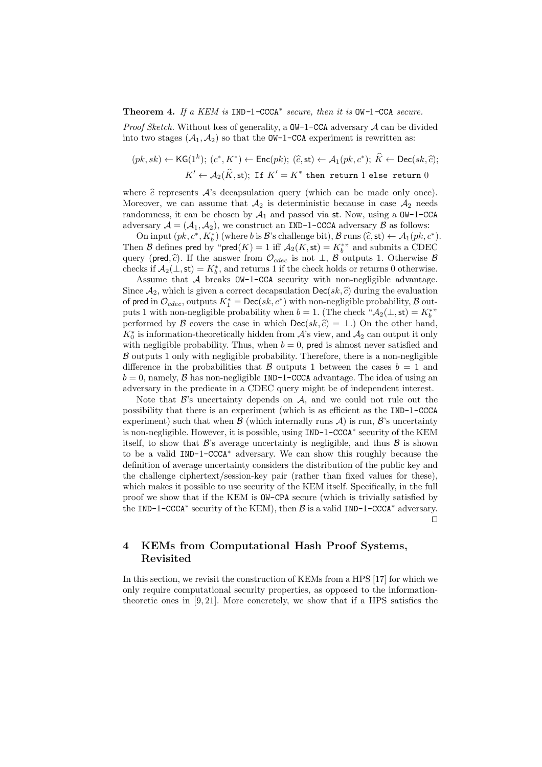**Theorem 4.** *If a KEM is* IND*-*1*-*CCCA*<sup>∗</sup> secure, then it is* OW*-*1*-*CCA *secure.*

*Proof Sketch.* Without loss of generality, a OW-1-CCA adversary *A* can be divided into two stages  $(A_1, A_2)$  so that the **OW-1-CCA** experiment is rewritten as:

$$
(pk, sk) \leftarrow \mathsf{KG}(1^k); (c^*, K^*) \leftarrow \mathsf{Enc}(pk); (\hat{c}, \mathsf{st}) \leftarrow \mathcal{A}_1(pk, c^*); \ \hat{K} \leftarrow \mathsf{Dec}(sk, \hat{c});
$$
  

$$
K' \leftarrow \mathcal{A}_2(\hat{K}, \mathsf{st}); \ \mathsf{If} \ K' = K^* \ \mathsf{then} \ \mathsf{return} \ 1 \ \mathsf{else} \ \mathsf{return} \ 0
$$

where  $\hat{c}$  represents  $\hat{A}$ 's decapsulation query (which can be made only once). Moreover, we can assume that  $A_2$  is deterministic because in case  $A_2$  needs randomness, it can be chosen by  $A_1$  and passed via st. Now, using a  $OW-1-CCA$ adversary  $A = (A_1, A_2)$ , we construct an IND-1-CCCA adversary  $\beta$  as follows:

On input  $(pk, c^*, K_b^*)$  (where *b* is *B*'s challenge bit), *B* runs  $(\hat{c}, \text{st}) \leftarrow A_1(pk, c^*)$ . Then *B* defines pred by "pred $(K) = 1$  iff  $\mathcal{A}_2(K, \mathsf{st}) = K_b^*$ " and submits a CDEC query (pred,  $\hat{c}$ ). If the answer from  $\mathcal{O}_{cdec}$  is not  $\perp$ ,  $\beta$  outputs 1. Otherwise  $\beta$ checks if  $A_2(\perp, st) = K_b^*$ , and returns 1 if the check holds or returns 0 otherwise.

Assume that *A* breaks OW-1-CCA security with non-negligible advantage. Since  $A_2$ , which is given a correct decapsulation  $\textsf{Dec}(sk, \hat{c})$  during the evaluation of pred in  $\mathcal{O}_{cdec}$ , outputs  $K_1^* = \mathsf{Dec}(sk, c^*)$  with non-negligible probability,  $\mathcal B$  outputs 1 with non-negligible probability when  $b = 1$ . (The check  $\mathcal{A}_2(\perp, st) = K_b^*$ ) performed by *B* covers the case in which  $\text{Dec}(sk, \hat{c}) = \perp$ .) On the other hand,  $K_0^*$  is information-theoretically hidden from *A*'s view, and *A*<sub>2</sub> can output it only with negligible probability. Thus, when  $b = 0$ , pred is almost never satisfied and *B* outputs 1 only with negligible probability. Therefore, there is a non-negligible difference in the probabilities that *B* outputs 1 between the cases  $b = 1$  and  $b = 0$ , namely, *B* has non-negligible IND-1-CCCA advantage. The idea of using an adversary in the predicate in a CDEC query might be of independent interest.

Note that  $\mathcal{B}$ 's uncertainty depends on  $\mathcal{A}$ , and we could not rule out the possibility that there is an experiment (which is as efficient as the IND-1-CCCA experiment) such that when  $\beta$  (which internally runs  $\mathcal{A}$ ) is run,  $\beta$ 's uncertainty is non-negligible. However, it is possible, using IND-1-CCCA*<sup>∗</sup>* security of the KEM itself, to show that  $\mathcal{B}'$ 's average uncertainty is negligible, and thus  $\mathcal{B}$  is shown to be a valid IND-1-CCCA*<sup>∗</sup>* adversary. We can show this roughly because the definition of average uncertainty considers the distribution of the public key and the challenge ciphertext/session-key pair (rather than fixed values for these), which makes it possible to use security of the KEM itself. Specifically, in the full proof we show that if the KEM is OW-CPA secure (which is trivially satisfied by the IND-1-CCCA*<sup>∗</sup>* security of the KEM), then *B* is a valid IND-1-CCCA*<sup>∗</sup>* adversary. *⊓⊔*

## **4 KEMs from Computational Hash Proof Systems, Revisited**

In this section, we revisit the construction of KEMs from a HPS [17] for which we only require computational security properties, as opposed to the informationtheoretic ones in  $[9, 21]$ . More concretely, we show that if a HPS satisfies the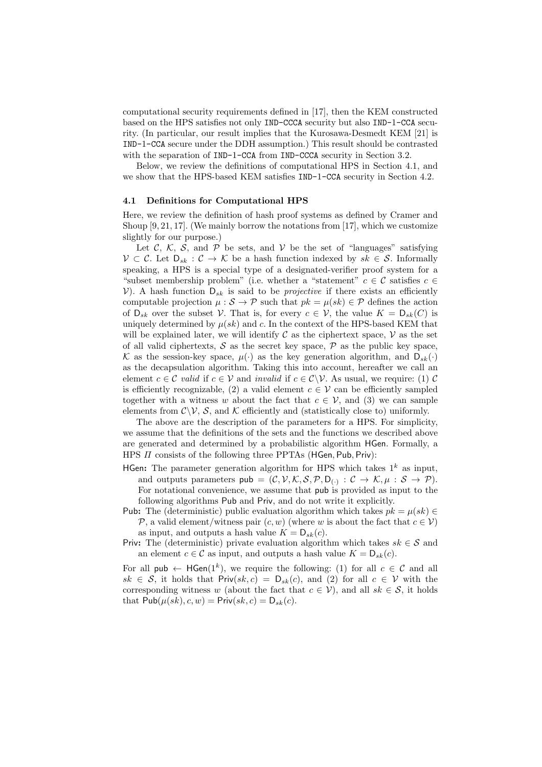computational security requirements defined in [17], then the KEM constructed based on the HPS satisfies not only IND-CCCA security but also IND-1-CCA security. (In particular, our result implies that the Kurosawa-Desmedt KEM [21] is IND-1-CCA secure under the DDH assumption.) This result should be contrasted with the separation of IND-1-CCA from IND-CCCA security in Section 3.2.

Below, we review the definitions of computational HPS in Section 4.1, and we show that the HPS-based KEM satisfies IND-1-CCA security in Section 4.2.

#### **4.1 Definitions for Computational HPS**

Here, we review the definition of hash proof systems as defined by Cramer and Shoup [9, 21, 17]. (We mainly borrow the notations from [17], which we customize slightly for our purpose.)

Let  $\mathcal{C}, \mathcal{K}, \mathcal{S},$  and  $\mathcal{P}$  be sets, and  $\mathcal{V}$  be the set of "languages" satisfying *V* ⊂ C. Let  $D_{sk}$  :  $C$  →  $K$  be a hash function indexed by  $sk \in S$ . Informally speaking, a HPS is a special type of a designated-verifier proof system for a "subset membership problem" (i.e. whether a "statement"  $c \in \mathcal{C}$  satisfies  $c \in \mathcal{C}$ *V*). A hash function  $D_{sk}$  is said to be *projective* if there exists an efficiently computable projection  $\mu : \mathcal{S} \to \mathcal{P}$  such that  $pk = \mu(sk) \in \mathcal{P}$  defines the action of  $D_{sk}$  over the subset *V*. That is, for every  $c \in V$ , the value  $K = D_{sk}(C)$  is uniquely determined by  $\mu(sk)$  and *c*. In the context of the HPS-based KEM that will be explained later, we will identify  $\mathcal C$  as the ciphertext space,  $\mathcal V$  as the set of all valid ciphertexts,  $S$  as the secret key space,  $P$  as the public key space,  $K$  as the session-key space,  $\mu(\cdot)$  as the key generation algorithm, and  $D_{sk}(\cdot)$ as the decapsulation algorithm. Taking this into account, hereafter we call an element  $c \in \mathcal{C}$  *valid* if  $c \in \mathcal{V}$  and *invalid* if  $c \in \mathcal{C} \backslash \mathcal{V}$ . As usual, we require: (1)  $\mathcal{C}$ is efficiently recognizable, (2) a valid element  $c \in V$  can be efficiently sampled together with a witness *w* about the fact that  $c \in V$ , and (3) we can sample elements from  $\mathcal{C}\backslash\mathcal{V}$ ,  $\mathcal{S}$ , and  $\mathcal{K}$  efficiently and (statistically close to) uniformly.

The above are the description of the parameters for a HPS. For simplicity, we assume that the definitions of the sets and the functions we described above are generated and determined by a probabilistic algorithm HGen. Formally, a HPS *Π* consists of the following three PPTAs (HGen*,* Pub*,* Priv):

- HGen**:** The parameter generation algorithm for HPS which takes 1*<sup>k</sup>* as input, and outputs parameters  $\mathsf{pub} = (\mathcal{C}, \mathcal{V}, \mathcal{K}, \mathcal{S}, \mathcal{P}, \mathsf{D}_{(\cdot)} : \mathcal{C} \to \mathcal{K}, \mu : \mathcal{S} \to \mathcal{P}).$ For notational convenience, we assume that pub is provided as input to the following algorithms Pub and Priv, and do not write it explicitly.
- Pub: The (deterministic) public evaluation algorithm which takes  $pk = \mu(sk) \in$ *P*, a valid element/witness pair  $(c, w)$  (where *w* is about the fact that  $c \in V$ ) as input, and outputs a hash value  $K = D_{sk}(c)$ .
- Priv**:** The (deterministic) private evaluation algorithm which takes *sk ∈ S* and an element  $c \in \mathcal{C}$  as input, and outputs a hash value  $K = D_{sk}(c)$ .

For all  $\mathsf{pub} \leftarrow \mathsf{HGen}(1^k)$ , we require the following: (1) for all  $c \in \mathcal{C}$  and all *sk* ∈ S, it holds that Priv(*sk, c*) =  $D_{sk}(c)$ , and (2) for all  $c \in V$  with the corresponding witness *w* (about the fact that  $c \in V$ ), and all  $sk \in S$ , it holds that  $\text{Pub}(\mu(sk), c, w) = \text{Priv}(sk, c) = \text{D}_{sk}(c).$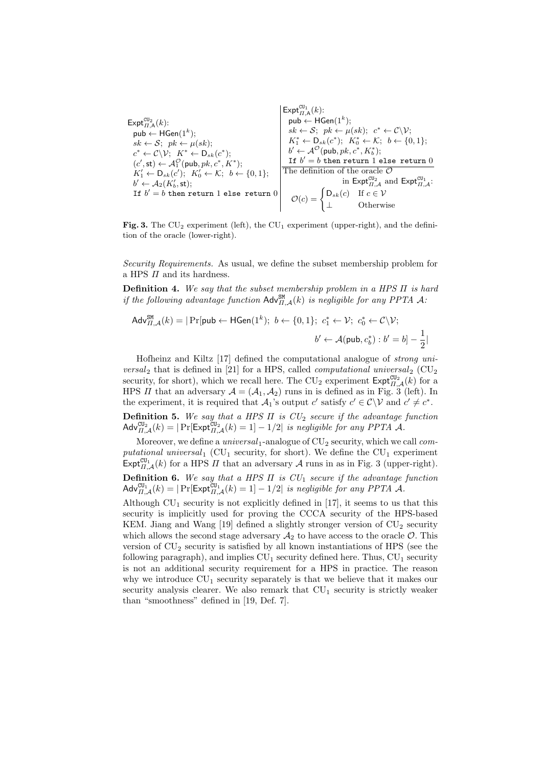$\mathsf{Expt}_{\Pi,\mathsf{A}}^{\mathsf{CU}_2}(k)$ :  $\mathsf{pub} \leftarrow \mathsf{HGen}(1^k);$  $sk \leftarrow \mathcal{S}; \; pk \leftarrow \mu(sk);$  $c^* \leftarrow C \backslash \mathcal{V}; \ \ K^* \leftarrow \mathsf{D}_{sk}(c^*)$ ;  $(c', \text{st}) \leftarrow \mathcal{A}_1^{\mathcal{O}}(\text{pub}, pk, c^*, K^*)$ ;  $K'_1 \leftarrow \mathsf{D}_{sk}(c')$ ;  $K'_0 \leftarrow \mathcal{K}$ ;  $b \leftarrow \{0, 1\}$ ;  $b' \leftarrow \mathcal{A}_2(K'_b,\mathsf{st});$ If  $b' = b$  then return 1 else return 0  $\mathsf{Expt}_{\Pi,\mathsf{A}}^{\mathsf{CU}_1}(k)$ :  $\mathsf{pub} \leftarrow \mathsf{HGen}(1^k);$  $sk \leftarrow S$ ;  $pk \leftarrow \mu(sk)$ ;  $c^* \leftarrow C \backslash V$ ; *K*<sup>\*</sup><sub>1</sub></sub> ← D<sub>*sk*</sub>(*c*<sup>\*</sup>); *K*<sup>\*</sup><sub>0</sub> ← *K*; *b* ← {0*,* 1};  $b' \leftarrow \mathcal{A}^{\mathcal{O}}(\mathsf{pub}, pk, c^*, K_b^*)$ ; If  $b' = b$  then return 1 else return 0 The definition of the oracle *O* in  $\mathsf{Expt}_{\Pi,\mathcal{A}}^{\mathsf{CU}_2}$  and  $\mathsf{Expt}_{\Pi,\mathcal{A}}^{\mathsf{CU}_1}$ :  $\mathcal{O}(c) = \begin{cases} \mathsf{D}_{sk}(c) & \text{if } c \in \mathcal{V} \\ 0 & \text{otherwise} \end{cases}$ *⊥* Otherwise

**Fig. 3.** The  $CU_2$  experiment (left), the  $CU_1$  experiment (upper-right), and the definition of the oracle (lower-right).

*Security Requirements.* As usual, we define the subset membership problem for a HPS *Π* and its hardness.

**Definition 4.** *We say that the subset membership problem in a HPS Π is hard if the following advantage function*  $\mathsf{Adv}_{\Pi,\mathcal{A}}^{\mathsf{SM}}(k)$  *is negligible for any PPTA*  $\mathcal{A}$ *:* 

$$
\mathsf{Adv}_{\Pi,\mathcal{A}}^{\mathsf{SM}}(k) = |\Pr[\mathsf{pub} \leftarrow \mathsf{HGen}(1^k); \ b \leftarrow \{0,1\}; \ c_1^* \leftarrow \mathcal{V}; \ c_0^* \leftarrow \mathcal{C} \backslash \mathcal{V};
$$

$$
b' \leftarrow \mathcal{A}(\mathsf{pub}, c_b^*): b' = b] - \frac{1}{2}|\mathsf{C} \backslash \mathcal{V} \backslash \mathcal{V} \backslash \mathcal{V} \backslash \mathcal{V}
$$

Hofheinz and Kiltz [17] defined the computational analogue of *strong uni* $versal<sub>2</sub>$  that is defined in [21] for a HPS, called *computational universal*  $_2$  (CU<sub>2</sub> security, for short), which we recall here. The CU<sub>2</sub> experiment  $\text{Expt}_{H,A}^{\text{CU}_2}(k)$  for a HPS *Π* that an adversary  $A = (A_1, A_2)$  runs in is defined as in Fig. 3 (left). In the experiment, it is required that  $A_1$ 's output *c*' satisfy  $c' \in C \setminus \mathcal{V}$  and  $c' \neq c^*$ .

**Definition 5.** *We say that a HPS Π is CU*<sup>2</sup> *secure if the advantage function*  $\operatorname{Adv}_{\Pi,\mathcal{A}}^{\text{CU}_2}(k) = |\Pr[\text{Expt}_{\Pi,\mathcal{A}}^{\text{CU}_2}(k) = 1] - 1/2|$  is negligible for any PPTA  $\mathcal{A}$ .

Moreover, we define a *universal* 1-analogue of  $CU_2$  security, which we call *com* $putational$  universal<sub>1</sub> (CU<sub>1</sub> security, for short). We define the CU<sub>1</sub> experiment  $\textsf{Expt}_{\Pi,\mathcal{A}}^{\textsf{CU}_1}(k)$  for a HPS  $\Pi$  that an adversary  $\mathcal{A}$  runs in as in Fig. 3 (upper-right). **Definition 6.** *We say that a HPS Π is CU*<sup>1</sup> *secure if the advantage function*

 $\mathsf{Adv}_{\Pi,\mathcal{A}}^{\mathsf{CU}_1}(k) = |\Pr[\mathsf{Expt}_{\Pi,\mathcal{A}}^{\mathsf{CU}_1}(k) = 1] - 1/2|$  is negligible for any PPTA A.

Although  $CU_1$  security is not explicitly defined in [17], it seems to us that this security is implicitly used for proving the CCCA security of the HPS-based KEM. Jiang and Wang  $[19]$  defined a slightly stronger version of  $CU_2$  security which allows the second stage adversary  $A_2$  to have access to the oracle  $O$ . This version of  $CU_2$  security is satisfied by all known instantiations of HPS (see the following paragraph), and implies  $CU_1$  security defined here. Thus,  $CU_1$  security is not an additional security requirement for a HPS in practice. The reason why we introduce  $CU_1$  security separately is that we believe that it makes our security analysis clearer. We also remark that  $CU_1$  security is strictly weaker than "smoothness" defined in [19, Def. 7].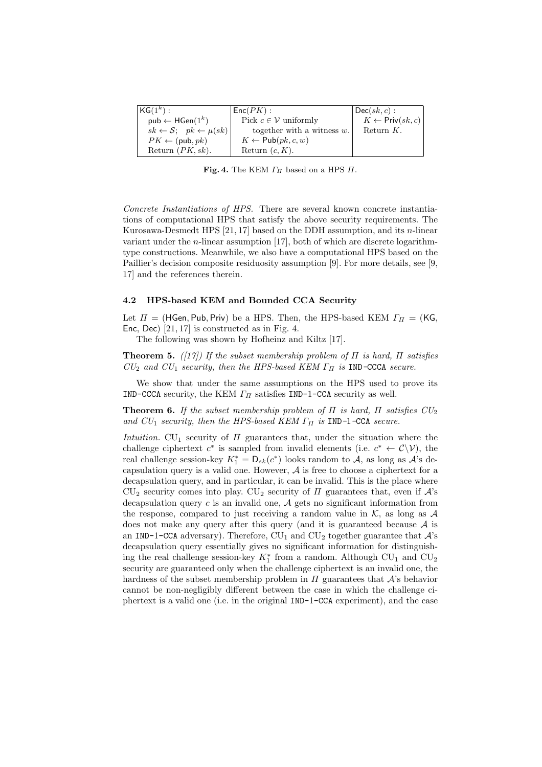| $\vert$ KG $(1^k)$ :                           | $\mathsf{Enc}(PK):$                   | $\vert$ Dec $(sk, c)$ :       |
|------------------------------------------------|---------------------------------------|-------------------------------|
| $pub \leftarrow HGen(1^k)$                     | Pick $c \in V$ uniformly              | $K \leftarrow$ Priv $(sk, c)$ |
| $sk \leftarrow S; \quad pk \leftarrow \mu(sk)$ | together with a witness $w$ .         | Return $K$ .                  |
| $PK \leftarrow (pub, pk)$                      | $K \leftarrow \mathsf{Pub}(pk, c, w)$ |                               |
| Return $(PK, sk)$ .                            | Return $(c, K)$ .                     |                               |

**Fig. 4.** The KEM *Γ<sup>Π</sup>* based on a HPS *Π*.

*Concrete Instantiations of HPS.* There are several known concrete instantiations of computational HPS that satisfy the above security requirements. The Kurosawa-Desmedt HPS [21, 17] based on the DDH assumption, and its *n*-linear variant under the *n*-linear assumption [17], both of which are discrete logarithmtype constructions. Meanwhile, we also have a computational HPS based on the Paillier's decision composite residuosity assumption [9]. For more details, see [9, 17] and the references therein.

#### **4.2 HPS-based KEM and Bounded CCA Security**

Let  $\Pi$  = (HGen, Pub, Priv) be a HPS. Then, the HPS-based KEM  $\Gamma_{\Pi}$  = (KG, Enc, Dec) [21, 17] is constructed as in Fig. 4.

The following was shown by Hofheinz and Kiltz [17].

**Theorem 5.** *([17]) If the subset membership problem of Π is hard, Π satisfies*  $CU_2$  *and CU*<sub>1</sub> *security, then the HPS-based KEM*  $\Gamma_{\Pi}$  *is* IND-CCCA *secure.* 

We show that under the same assumptions on the HPS used to prove its IND-CCCA security, the KEM  $\Gamma_{\Pi}$  satisfies IND-1-CCA security as well.

**Theorem 6.** *If the subset membership problem of Π is hard, Π satisfies CU*<sup>2</sup> *and CU*<sup>1</sup> *security, then the HPS-based KEM Γ<sup>Π</sup> is* IND*-*1*-*CCA *secure.*

*Intuition.* CU<sub>1</sub> security of  $\Pi$  guarantees that, under the situation where the challenge ciphertext  $c^*$  is sampled from invalid elements (i.e.  $c^* \leftarrow C \backslash \mathcal{V}$ ), the real challenge session-key  $K_1^* = D_{sk}(c^*)$  looks random to *A*, as long as *A*'s decapsulation query is a valid one. However, *A* is free to choose a ciphertext for a decapsulation query, and in particular, it can be invalid. This is the place where  $CU_2$  security comes into play.  $CU_2$  security of *Π* guarantees that, even if  $A$ 's decapsulation query *c* is an invalid one, *A* gets no significant information from the response, compared to just receiving a random value in  $K$ , as long as  $A$ does not make any query after this query (and it is guaranteed because *A* is an IND-1-CCA adversary). Therefore,  $CU_1$  and  $CU_2$  together guarantee that  $A$ 's decapsulation query essentially gives no significant information for distinguishing the real challenge session-key  $K_1^*$  from a random. Although  $CU_1$  and  $CU_2$ security are guaranteed only when the challenge ciphertext is an invalid one, the hardness of the subset membership problem in *Π* guarantees that *A*'s behavior cannot be non-negligibly different between the case in which the challenge ciphertext is a valid one (i.e. in the original IND-1-CCA experiment), and the case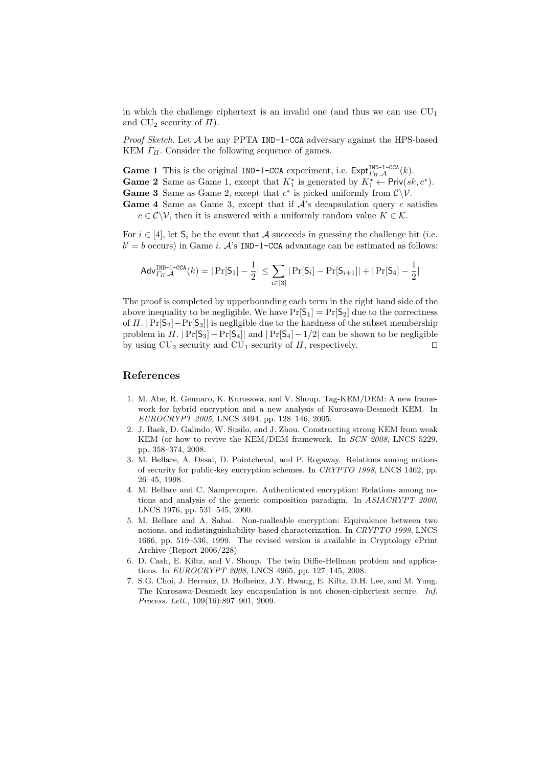in which the challenge ciphertext is an invalid one (and thus we can use  $CU_1$ ) and  $CU_2$  security of  $\Pi$ ).

*Proof Sketch.* Let *A* be any PPTA IND-1-CCA adversary against the HPS-based KEM  $\Gamma$ *<sub>Π</sub>*. Consider the following sequence of games.

**Game 1** This is the original IND-1-CCA experiment, i.e.  $\text{Expt}_{T_n,\mathcal{A}}^{\text{IND-1-CCA}}(k)$ .

**Game 2** Same as Game 1, except that  $K_1^*$  is generated by  $K_1^* \leftarrow \text{Priv}(sk, c^*)$ .

**Game 3** Same as Game 2, except that  $c^*$  is picked uniformly from  $C \backslash V$ .

**Game 4** Same as Game 3, except that if *A*'s decapsulation query *c* satisfies  $c \in C \backslash V$ , then it is answered with a uniformly random value  $K \in \mathcal{K}$ .

For  $i \in [4]$ , let  $S_i$  be the event that *A* succeeds in guessing the challenge bit (i.e.  $b' = b$  occurs) in Game *i*.  $A$ 's IND-1-CCA advantage can be estimated as follows:

$$
\mathsf{Adv}_{\varGamma_{\varPi},\mathcal{A}}^{\mathsf{IND}-\mathsf{1}\text{-}\mathtt{CCA}}(k)=\vert \Pr[\mathsf{S}_1]-\frac{1}{2}\vert\leq \sum_{i\in [3]}\vert \Pr[\mathsf{S}_i]-\Pr[\mathsf{S}_{i+1}]\vert+\vert \Pr[\mathsf{S}_4]-\frac{1}{2}\vert
$$

The proof is completed by upperbounding each term in the right hand side of the above inequality to be negligible. We have  $Pr[S_1] = Pr[S_2]$  due to the correctness of *Π*. *|*Pr[S2]*−*Pr[S3]*|* is negligible due to the hardness of the subset membership problem in *Π*.  $|Pr[S_3] - Pr[S_4]|$  and  $|Pr[S_4] - 1/2|$  can be shown to be negligible by using CU<sup>2</sup> security and CU<sup>1</sup> security of *Π*, respectively. *⊓⊔*

### **References**

- 1. M. Abe, R. Gennaro, K. Kurosawa, and V. Shoup. Tag-KEM/DEM: A new framework for hybrid encryption and a new analysis of Kurosawa-Desmedt KEM. In *EUROCRYPT 2005*, LNCS 3494, pp. 128–146, 2005.
- 2. J. Baek, D. Galindo, W. Susilo, and J. Zhou. Constructing strong KEM from weak KEM (or how to revive the KEM/DEM framework. In *SCN 2008*, LNCS 5229, pp. 358–374, 2008.
- 3. M. Bellare, A. Desai, D. Pointcheval, and P. Rogaway. Relations among notions of security for public-key encryption schemes. In *CRYPTO 1998*, LNCS 1462, pp. 26–45, 1998.
- 4. M. Bellare and C. Namprempre. Authenticated encryption: Relations among notions and analysis of the generic composition paradigm. In *ASIACRYPT 2000*, LNCS 1976, pp. 531–545, 2000.
- 5. M. Bellare and A. Sahai. Non-malleable encryption: Equivalence between two notions, and indistinguishability-based characterization. In *CRYPTO 1999*, LNCS 1666, pp. 519–536, 1999. The revised version is available in Cryptology ePrint Archive (Report 2006/228)
- 6. D. Cash, E. Kiltz, and V. Shoup. The twin Diffie-Hellman problem and applications. In *EUROCRYPT 2008*, LNCS 4965, pp. 127–145, 2008.
- 7. S.G. Choi, J. Herranz, D. Hofheinz, J.Y. Hwang, E. Kiltz, D.H. Lee, and M. Yung. The Kurosawa-Desmedt key encapsulation is not chosen-ciphertext secure. *Inf. Process. Lett.*, 109(16):897–901, 2009.